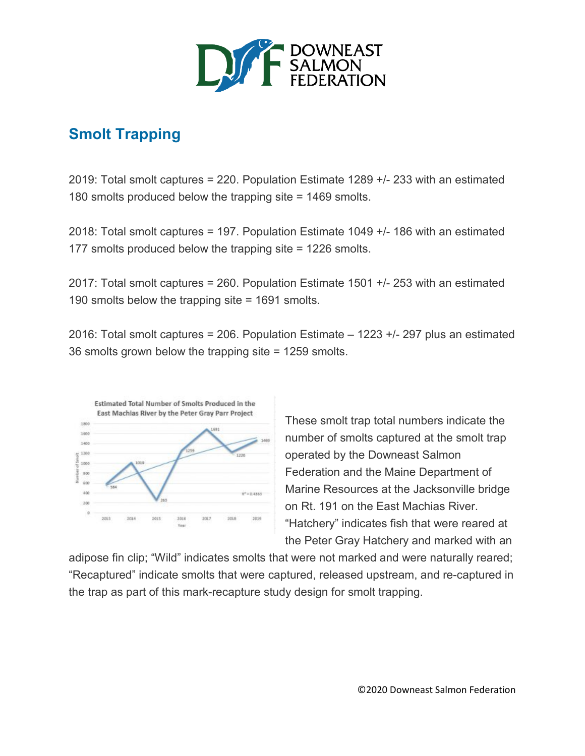

## **Smolt Trapping**

2019: Total smolt captures = 220. Population Estimate 1289 +/- 233 with an estimated 180 smolts produced below the trapping site = 1469 smolts.

2018: Total smolt captures = 197. Population Estimate 1049 +/- 186 with an estimated 177 smolts produced below the trapping site = 1226 smolts.

2017: Total smolt captures = 260. Population Estimate 1501 +/- 253 with an estimated 190 smolts below the trapping site = 1691 smolts.

2016: Total smolt captures = 206. Population Estimate – 1223 +/- 297 plus an estimated 36 smolts grown below the trapping site = 1259 smolts.



These smolt trap total numbers indicate the number of smolts captured at the smolt trap operated by the Downeast Salmon Federation and the Maine Department of Marine Resources at the Jacksonville bridge on Rt. 191 on the East Machias River. "Hatchery" indicates fish that were reared at the Peter Gray Hatchery and marked with an

adipose fin clip; "Wild" indicates smolts that were not marked and were naturally reared; "Recaptured" indicate smolts that were captured, released upstream, and re-captured in the trap as part of this mark-recapture study design for smolt trapping.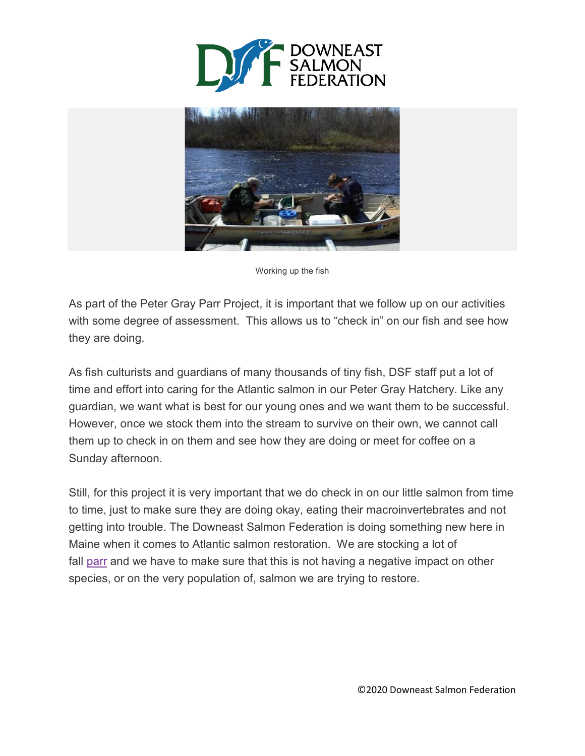



Working up the fish

As part of the Peter Gray Parr Project, it is important that we follow up on our activities with some degree of assessment. This allows us to "check in" on our fish and see how they are doing.

As fish culturists and guardians of many thousands of tiny fish, DSF staff put a lot of time and effort into caring for the Atlantic salmon in our Peter Gray Hatchery. Like any guardian, we want what is best for our young ones and we want them to be successful. However, once we stock them into the stream to survive on their own, we cannot call them up to check in on them and see how they are doing or meet for coffee on a Sunday afternoon.

Still, for this project it is very important that we do check in on our little salmon from time to time, just to make sure they are doing okay, eating their macroinvertebrates and not getting into trouble. The Downeast Salmon Federation is doing something new here in Maine when it comes to Atlantic salmon restoration. We are stocking a lot of fall [parr](https://mainesalmonrivers.org/education-outreach/glossary/#parr) and we have to make sure that this is not having a negative impact on other species, or on the very population of, salmon we are trying to restore.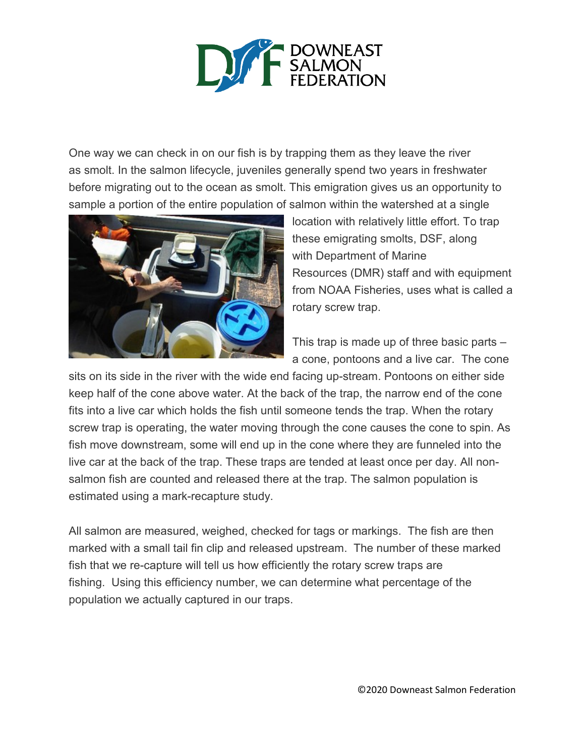

One way we can check in on our fish is by trapping them as they leave the river as smolt. In the salmon lifecycle, juveniles generally spend two years in freshwater before migrating out to the ocean as smolt. This emigration gives us an opportunity to sample a portion of the entire population of salmon within the watershed at a single



location with relatively little effort. To trap these emigrating smolts, DSF, along with Department of Marine Resources (DMR) staff and with equipment from NOAA Fisheries, uses what is called a rotary screw trap.

This trap is made up of three basic parts – a cone, pontoons and a live car. The cone

sits on its side in the river with the wide end facing up-stream. Pontoons on either side keep half of the cone above water. At the back of the trap, the narrow end of the cone fits into a live car which holds the fish until someone tends the trap. When the rotary screw trap is operating, the water moving through the cone causes the cone to spin. As fish move downstream, some will end up in the cone where they are funneled into the live car at the back of the trap. These traps are tended at least once per day. All nonsalmon fish are counted and released there at the trap. The salmon population is estimated using a mark-recapture study.

All salmon are measured, weighed, checked for tags or markings. The fish are then marked with a small tail fin clip and released upstream. The number of these marked fish that we re-capture will tell us how efficiently the rotary screw traps are fishing. Using this efficiency number, we can determine what percentage of the population we actually captured in our traps.